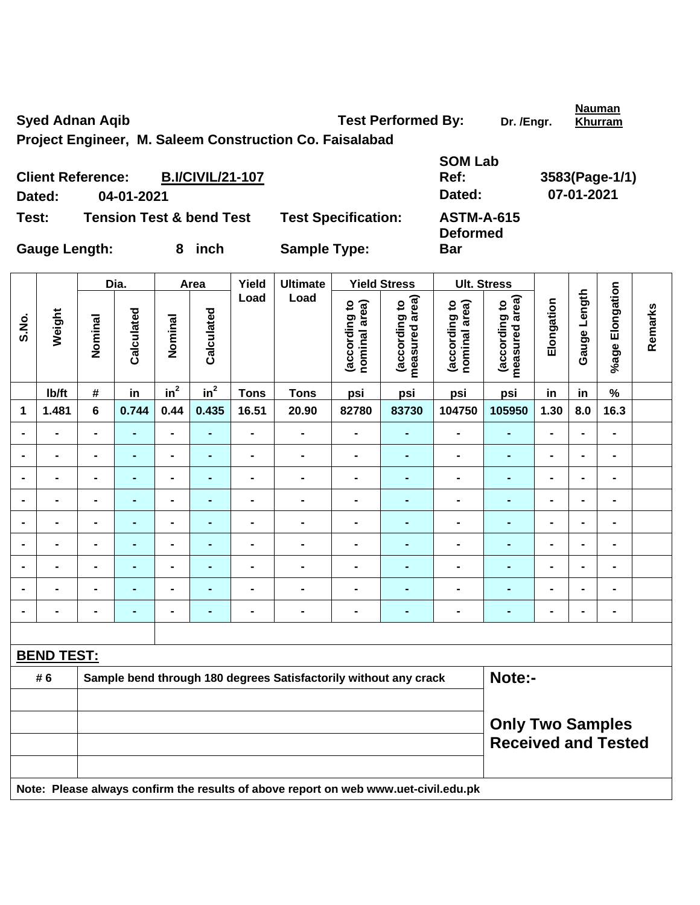Syed Adnan Aqib **Test Performed By:** Dr. /Engr.

**Khurram**

**Project Engineer, M. Saleem Construction Co. Faisalabad** 

| <b>Client Reference:</b> |            | <b>B.I/CIVIL/21-107</b>             |                            | <b>SOM Lab</b><br>Ref:               | 3583(Page-1/1) |
|--------------------------|------------|-------------------------------------|----------------------------|--------------------------------------|----------------|
| Dated:                   | 04-01-2021 |                                     |                            | Dated:                               | 07-01-2021     |
| Test:                    |            | <b>Tension Test &amp; bend Test</b> | <b>Test Specification:</b> | <b>ASTM-A-615</b><br><b>Deformed</b> |                |
| <b>Gauge Length:</b>     |            | inch                                | <b>Sample Type:</b>        | Bar                                  |                |

|                |                   |                                                       | Dia.           |                 | Area                                                                                | Yield<br>Load  | <b>Ultimate</b><br>Load                                          |                                | <b>Yield Stress</b>             | <b>Ult. Stress</b>             |                                 |                |                |                 |         |  |  |
|----------------|-------------------|-------------------------------------------------------|----------------|-----------------|-------------------------------------------------------------------------------------|----------------|------------------------------------------------------------------|--------------------------------|---------------------------------|--------------------------------|---------------------------------|----------------|----------------|-----------------|---------|--|--|
| S.No.          | Weight            | Nominal                                               | Calculated     | Nominal         | Calculated                                                                          |                |                                                                  | (according to<br>nominal area) | measured area)<br>(according to | (according to<br>nominal area) | measured area)<br>(according to | Elongation     | Gauge Length   | %age Elongation | Remarks |  |  |
|                | Ib/ft             | #                                                     | in             | in <sup>2</sup> | in <sup>2</sup>                                                                     | <b>Tons</b>    | <b>Tons</b>                                                      | psi                            | psi                             | psi                            | psi                             | in             | in             | $\%$            |         |  |  |
| 1              | 1.481             | 6                                                     | 0.744          | 0.44            | 0.435                                                                               | 16.51          | 20.90                                                            | 82780                          | 83730                           | 104750                         | 105950                          | 1.30           | 8.0            | 16.3            |         |  |  |
| $\blacksquare$ | $\blacksquare$    | $\blacksquare$                                        | $\blacksquare$ | $\blacksquare$  | $\blacksquare$                                                                      | $\blacksquare$ | $\blacksquare$                                                   | $\qquad \qquad \blacksquare$   | $\blacksquare$                  | $\blacksquare$                 | ÷,                              | $\blacksquare$ | $\blacksquare$ | $\blacksquare$  |         |  |  |
| $\blacksquare$ | $\blacksquare$    | $\blacksquare$                                        | $\blacksquare$ | $\blacksquare$  | $\blacksquare$                                                                      | $\blacksquare$ | $\qquad \qquad \blacksquare$                                     | $\qquad \qquad \blacksquare$   | -                               | $\blacksquare$                 | $\blacksquare$                  | $\blacksquare$ | $\blacksquare$ | $\blacksquare$  |         |  |  |
|                | $\blacksquare$    | -                                                     | $\blacksquare$ | $\blacksquare$  | $\blacksquare$                                                                      | $\blacksquare$ | $\blacksquare$                                                   | $\blacksquare$                 | $\blacksquare$                  | $\blacksquare$                 | $\blacksquare$                  | $\blacksquare$ |                | $\blacksquare$  |         |  |  |
|                |                   | $\blacksquare$                                        | $\blacksquare$ | $\blacksquare$  | $\blacksquare$                                                                      | $\blacksquare$ | $\blacksquare$                                                   | $\blacksquare$                 | $\blacksquare$                  | $\blacksquare$                 | $\blacksquare$                  | $\blacksquare$ |                | $\blacksquare$  |         |  |  |
|                |                   |                                                       |                | $\blacksquare$  |                                                                                     |                | $\blacksquare$                                                   | $\blacksquare$                 |                                 | $\blacksquare$                 |                                 |                |                |                 |         |  |  |
| $\blacksquare$ | $\blacksquare$    | $\blacksquare$                                        | $\blacksquare$ | $\blacksquare$  | $\blacksquare$                                                                      | $\blacksquare$ | $\blacksquare$                                                   | $\blacksquare$                 | $\blacksquare$                  | $\blacksquare$                 | $\blacksquare$                  | $\blacksquare$ | $\blacksquare$ | $\blacksquare$  |         |  |  |
| $\blacksquare$ | $\blacksquare$    | $\blacksquare$                                        | $\blacksquare$ | $\blacksquare$  | $\blacksquare$                                                                      | $\blacksquare$ | $\blacksquare$                                                   | $\blacksquare$                 | $\blacksquare$                  | $\blacksquare$                 | $\blacksquare$                  | $\blacksquare$ | $\blacksquare$ | $\blacksquare$  |         |  |  |
|                |                   | -                                                     | $\blacksquare$ | $\blacksquare$  | $\blacksquare$                                                                      | $\blacksquare$ | $\blacksquare$                                                   | $\blacksquare$                 | $\blacksquare$                  | $\blacksquare$                 | $\blacksquare$                  | $\blacksquare$ | $\blacksquare$ | $\blacksquare$  |         |  |  |
| $\blacksquare$ |                   | -                                                     | $\blacksquare$ | $\blacksquare$  | $\blacksquare$                                                                      | $\blacksquare$ | $\blacksquare$                                                   | $\blacksquare$                 | $\blacksquare$                  | $\blacksquare$                 | $\blacksquare$                  | $\blacksquare$ |                | $\blacksquare$  |         |  |  |
|                |                   |                                                       |                |                 |                                                                                     |                |                                                                  |                                |                                 |                                |                                 |                |                |                 |         |  |  |
|                | <b>BEND TEST:</b> |                                                       |                |                 |                                                                                     |                |                                                                  |                                |                                 |                                |                                 |                |                |                 |         |  |  |
|                | # 6               |                                                       |                |                 |                                                                                     |                | Sample bend through 180 degrees Satisfactorily without any crack |                                |                                 |                                | Note:-                          |                |                |                 |         |  |  |
|                |                   |                                                       |                |                 |                                                                                     |                |                                                                  |                                |                                 |                                |                                 |                |                |                 |         |  |  |
|                |                   | <b>Only Two Samples</b><br><b>Received and Tested</b> |                |                 |                                                                                     |                |                                                                  |                                |                                 |                                |                                 |                |                |                 |         |  |  |
|                |                   |                                                       |                |                 | Note: Please always confirm the results of above report on web www.uet-civil.edu.pk |                |                                                                  |                                |                                 |                                |                                 |                |                |                 |         |  |  |

**Nauman**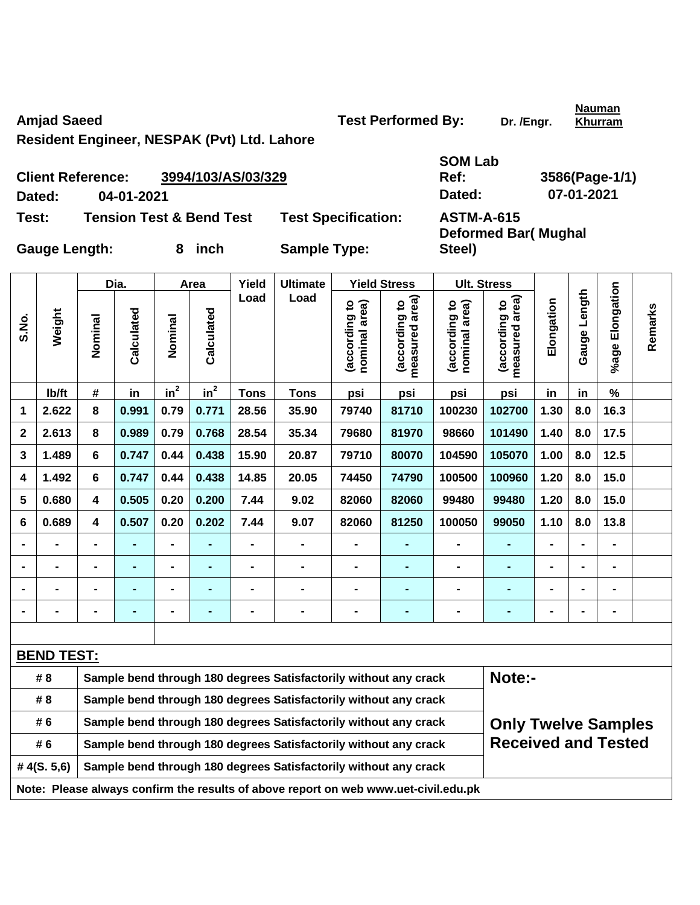Amjad Saeed **Test Performed By:** Dr. /Engr.

**Nauman Khurram**

**Resident Engineer, NESPAK (Pvt) Ltd. Lahore** 

|               | <b>Client Reference:</b> | 3994/103/AS/03/329                  |                            | <b>SOM Lab</b><br>Ref: | 3586(Page-1                 |
|---------------|--------------------------|-------------------------------------|----------------------------|------------------------|-----------------------------|
| Dated:        | 04-01-2021               |                                     |                            | Dated:                 | 07-01-2021                  |
| Test:         |                          | <b>Tension Test &amp; Bend Test</b> | <b>Test Specification:</b> | <b>ASTM-A-615</b>      | <b>Deformed Bar (Mughal</b> |
| Gauge Length: |                          | inch                                | <b>Sample Type:</b>        | Steel)                 |                             |

**Ref: 3586(Page-1/1)** 

|             |                   |                         | Dia.       |                 | Area           | Yield       | <b>Ultimate</b>                                                                     |                                | <b>Yield Stress</b>                | <b>Ult. Stress</b>             |                                    |                |                   |                 |         |
|-------------|-------------------|-------------------------|------------|-----------------|----------------|-------------|-------------------------------------------------------------------------------------|--------------------------------|------------------------------------|--------------------------------|------------------------------------|----------------|-------------------|-----------------|---------|
| S.No.       | Weight            | Nominal                 | Calculated | Nominal         | Calculated     | Load        | Load                                                                                | (according to<br>nominal area) | area)<br>(according to<br>measured | (according to<br>nominal area) | measured area)<br>S,<br>(according | Elongation     | Length<br>Gauge I | %age Elongation | Remarks |
|             | lb/ft             | #                       | in         | in <sup>2</sup> | $in^2$         | <b>Tons</b> | <b>Tons</b>                                                                         | psi                            | psi                                | psi                            | psi                                | in             | in                | $\frac{9}{6}$   |         |
| 1           | 2.622             | 8                       | 0.991      | 0.79            | 0.771          | 28.56       | 35.90                                                                               | 79740                          | 81710                              | 100230                         | 102700                             | 1.30           | 8.0               | 16.3            |         |
| $\mathbf 2$ | 2.613             | 8                       | 0.989      | 0.79            | 0.768          | 28.54       | 35.34                                                                               | 79680                          | 81970                              | 98660                          | 101490                             | 1.40           | 8.0               | 17.5            |         |
| 3           | 1.489             | 6                       | 0.747      | 0.44            | 0.438          | 15.90       | 20.87                                                                               | 79710                          | 80070                              | 104590                         | 105070                             | 1.00           | 8.0               | 12.5            |         |
| 4           | 1.492             | 6                       | 0.747      | 0.44            | 0.438          | 14.85       | 20.05                                                                               | 74450                          | 74790                              | 100500                         | 100960                             | 1.20           | 8.0               | 15.0            |         |
| 5           | 0.680             | $\overline{\mathbf{4}}$ | 0.505      | 0.20            | 0.200          | 7.44        | 9.02                                                                                | 82060                          | 82060                              | 99480                          | 99480                              | 1.20           | 8.0               | 15.0            |         |
| 6           | 0.689             | $\overline{\mathbf{4}}$ | 0.507      | 0.20            | 0.202          | 7.44        | 9.07                                                                                | 82060                          | 81250                              | 100050                         | 99050                              | 1.10           | 8.0               | 13.8            |         |
|             |                   |                         |            |                 |                |             |                                                                                     |                                |                                    |                                |                                    |                |                   |                 |         |
|             |                   |                         |            | $\blacksquare$  |                |             | $\blacksquare$                                                                      | $\blacksquare$                 |                                    |                                |                                    |                |                   | $\blacksquare$  |         |
|             |                   |                         |            | $\blacksquare$  | $\blacksquare$ |             |                                                                                     | $\blacksquare$                 |                                    |                                | $\blacksquare$                     |                |                   | $\blacksquare$  |         |
|             |                   | $\blacksquare$          |            | $\blacksquare$  | ÷              |             | $\blacksquare$                                                                      | $\blacksquare$                 | $\blacksquare$                     | $\blacksquare$                 | -                                  | $\blacksquare$ |                   | $\blacksquare$  |         |
|             |                   |                         |            |                 |                |             |                                                                                     |                                |                                    |                                |                                    |                |                   |                 |         |
|             | <b>BEND TEST:</b> |                         |            |                 |                |             |                                                                                     |                                |                                    |                                |                                    |                |                   |                 |         |
|             | # 8               |                         |            |                 |                |             | Sample bend through 180 degrees Satisfactorily without any crack                    |                                |                                    |                                | Note:-                             |                |                   |                 |         |
|             | # 8               |                         |            |                 |                |             | Sample bend through 180 degrees Satisfactorily without any crack                    |                                |                                    |                                |                                    |                |                   |                 |         |
|             | # 6               |                         |            |                 |                |             | Sample bend through 180 degrees Satisfactorily without any crack                    |                                |                                    |                                | <b>Only Twelve Samples</b>         |                |                   |                 |         |
|             | #6                |                         |            |                 |                |             | Sample bend through 180 degrees Satisfactorily without any crack                    |                                |                                    |                                | <b>Received and Tested</b>         |                |                   |                 |         |
|             | #4(S.5,6)         |                         |            |                 |                |             | Sample bend through 180 degrees Satisfactorily without any crack                    |                                |                                    |                                |                                    |                |                   |                 |         |
|             |                   |                         |            |                 |                |             | Note: Please always confirm the results of above report on web www.uet-civil.edu.pk |                                |                                    |                                |                                    |                |                   |                 |         |
|             |                   |                         |            |                 |                |             |                                                                                     |                                |                                    |                                |                                    |                |                   |                 |         |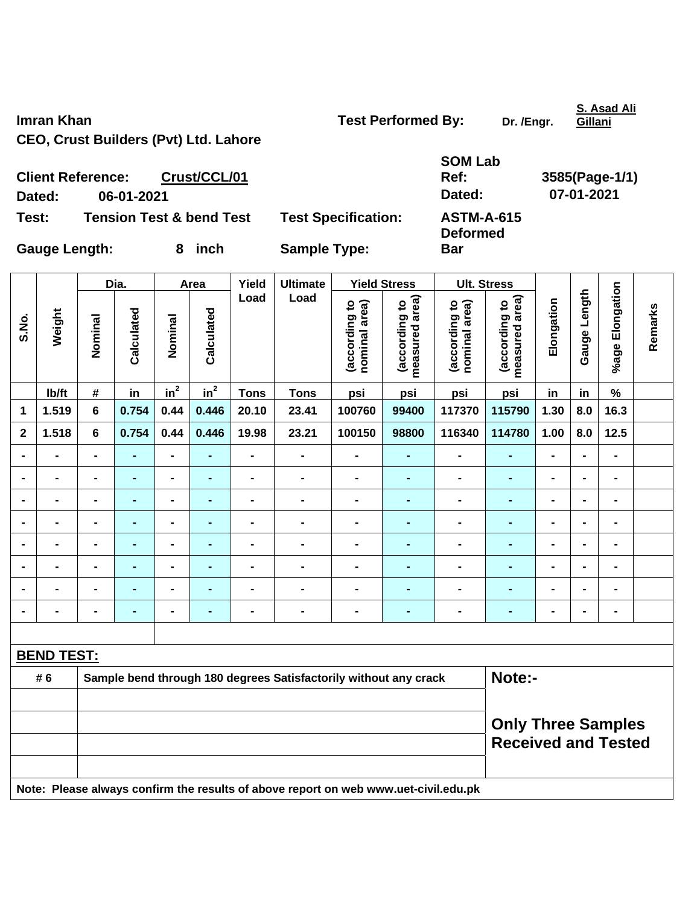**Imran Khan Test Performed By:** Dr. /Engr. **CEO, Crust Builders (Pvt) Ltd. Lahore** 

| Imran Khan                                   | <b>Test Performed By:</b> | Dr. /Engr. | Gillani     |
|----------------------------------------------|---------------------------|------------|-------------|
| <b>CEO, Crust Builders (Pvt) Ltd. Lahore</b> |                           |            |             |
|                                              | <b>SOM Lab</b>            |            |             |
| <b>Client Reference:</b><br>Crust/CCL/01     | Ref:                      |            | 3585(Page-1 |
| 06-01-2021<br>Dated:                         | Dated:                    |            | 07-01-2021  |

**Test: Tension Test & bend Test Test Specification: ASTM-A-615** 

**Bar** 

**Deformed** 

**Ref: 3585(Page-1/1)** 

Gauge Length: 8 inch Sample Type:

|                |                   |                                                                                     | Dia.           |                              | Area           | Yield                        | <b>Ultimate</b>                                                  |                                | <b>Yield Stress</b>             |                                | <b>Ult. Stress</b>              |                |                |                 |         |
|----------------|-------------------|-------------------------------------------------------------------------------------|----------------|------------------------------|----------------|------------------------------|------------------------------------------------------------------|--------------------------------|---------------------------------|--------------------------------|---------------------------------|----------------|----------------|-----------------|---------|
| S.No.          | Weight            | Nominal                                                                             | Calculated     | Nominal                      | Calculated     | Load                         | Load                                                             | (according to<br>nominal area) | (according to<br>measured area) | (according to<br>nominal area) | measured area)<br>(according to | Elongation     | Gauge Length   | %age Elongation | Remarks |
|                | Ib/ft             | $\#$                                                                                | in             | $in^2$                       | $in^2$         | <b>Tons</b>                  | <b>Tons</b>                                                      | psi                            | psi                             | psi                            | psi                             | in             | in             | $\%$            |         |
| 1              | 1.519             | $6\phantom{a}$                                                                      | 0.754          | 0.44                         | 0.446          | 20.10                        | 23.41                                                            | 100760                         | 99400                           | 117370                         | 115790                          | 1.30           | 8.0            | 16.3            |         |
| $\mathbf{2}$   | 1.518             | 6                                                                                   | 0.754          | 0.44                         | 0.446          | 19.98                        | 23.21                                                            | 100150                         | 98800                           | 116340                         | 114780                          | 1.00           | 8.0            | 12.5            |         |
| $\blacksquare$ | $\blacksquare$    | $\blacksquare$                                                                      | $\blacksquare$ | $\blacksquare$               | $\blacksquare$ | $\qquad \qquad \blacksquare$ | $\blacksquare$                                                   | $\blacksquare$                 | $\blacksquare$                  | $\blacksquare$                 | $\blacksquare$                  | $\blacksquare$ | $\blacksquare$ | $\blacksquare$  |         |
| $\blacksquare$ | $\blacksquare$    | $\blacksquare$                                                                      | $\blacksquare$ | $\qquad \qquad \blacksquare$ | $\blacksquare$ | $\blacksquare$               | $\blacksquare$                                                   | $\blacksquare$                 | $\blacksquare$                  | $\blacksquare$                 | $\blacksquare$                  | $\blacksquare$ | $\blacksquare$ | $\blacksquare$  |         |
|                | $\blacksquare$    | $\blacksquare$                                                                      | $\blacksquare$ | $\qquad \qquad \blacksquare$ | ÷              | -                            | $\blacksquare$                                                   | $\blacksquare$                 | $\blacksquare$                  | $\blacksquare$                 | $\blacksquare$                  | $\blacksquare$ | $\blacksquare$ | $\blacksquare$  |         |
|                | $\blacksquare$    | $\blacksquare$                                                                      | $\blacksquare$ | $\blacksquare$               | $\blacksquare$ | $\blacksquare$               | $\blacksquare$                                                   | $\blacksquare$                 | $\blacksquare$                  | $\blacksquare$                 | $\blacksquare$                  | $\blacksquare$ | $\blacksquare$ | $\blacksquare$  |         |
|                |                   |                                                                                     |                | $\blacksquare$               | $\blacksquare$ | $\blacksquare$               | $\blacksquare$                                                   | $\blacksquare$                 |                                 | $\blacksquare$                 | $\blacksquare$                  | $\blacksquare$ | $\blacksquare$ | $\blacksquare$  |         |
| $\blacksquare$ | $\blacksquare$    | $\blacksquare$                                                                      | $\blacksquare$ | $\blacksquare$               | ۰              | $\blacksquare$               | $\blacksquare$                                                   | $\blacksquare$                 | $\blacksquare$                  | $\blacksquare$                 | $\blacksquare$                  | $\blacksquare$ | $\blacksquare$ | -               |         |
|                | $\blacksquare$    | $\blacksquare$                                                                      | $\blacksquare$ | $\blacksquare$               | $\blacksquare$ | $\blacksquare$               | $\blacksquare$                                                   | $\blacksquare$                 | $\blacksquare$                  | $\blacksquare$                 | $\blacksquare$                  | $\blacksquare$ | $\blacksquare$ | $\blacksquare$  |         |
| $\blacksquare$ | -                 | -                                                                                   | $\blacksquare$ | $\qquad \qquad \blacksquare$ | $\blacksquare$ | -                            | $\blacksquare$                                                   | $\overline{a}$                 | $\blacksquare$                  | $\overline{\phantom{0}}$       | $\blacksquare$                  | $\blacksquare$ | $\blacksquare$ | $\blacksquare$  |         |
|                |                   |                                                                                     |                |                              |                |                              |                                                                  |                                |                                 |                                |                                 |                |                |                 |         |
|                | <b>BEND TEST:</b> |                                                                                     |                |                              |                |                              |                                                                  |                                |                                 |                                |                                 |                |                |                 |         |
|                | # 6               |                                                                                     |                |                              |                |                              | Sample bend through 180 degrees Satisfactorily without any crack |                                |                                 |                                | Note:-                          |                |                |                 |         |
|                |                   |                                                                                     |                |                              |                |                              |                                                                  |                                |                                 |                                |                                 |                |                |                 |         |
|                |                   |                                                                                     |                |                              |                |                              | <b>Only Three Samples</b><br><b>Received and Tested</b>          |                                |                                 |                                |                                 |                |                |                 |         |
|                |                   | Note: Please always confirm the results of above report on web www.uet-civil.edu.pk |                |                              |                |                              |                                                                  |                                |                                 |                                |                                 |                |                |                 |         |

**S. Asad Ali Gillani**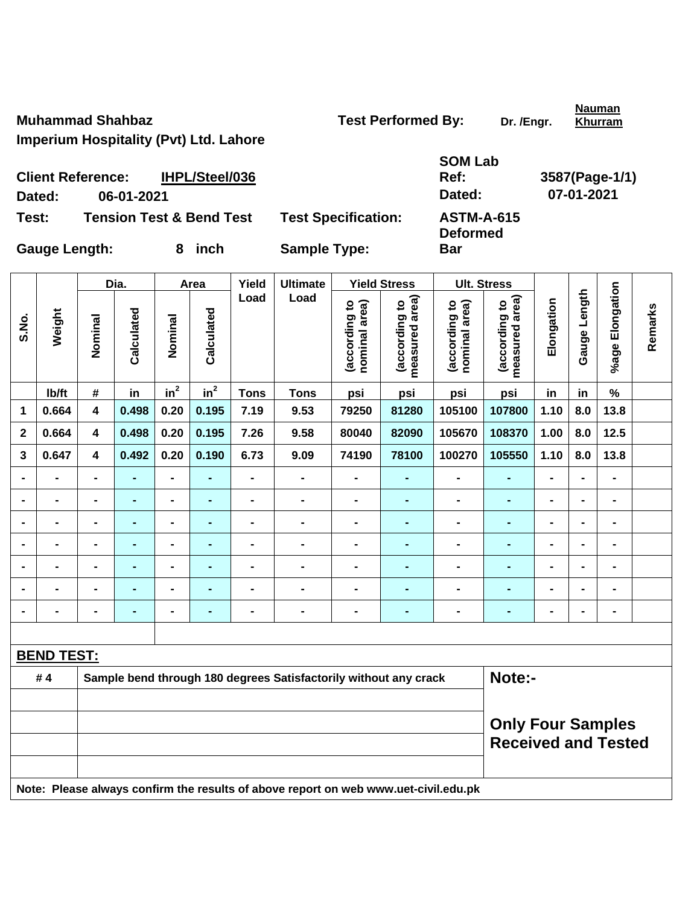**Nauman Khurram**

**Imperium Hospitality (Pvt) Ltd. Lahore** 

| SOM Lab |                |
|---------|----------------|
| Ref:    | 3587(Pag       |
| Dated:  | $07 - 01 - 20$ |
|         |                |

**Deformed** 

**Bar** 

**Client Reference: IHPL/Steel/036 Dated: 06-01-2021 Dated: 07-01-2021 Test: Tension Test & Bend Test Test Specification: ASTM-A-615** 

Gauge Length: 8 inch Sample Type:

|                         |                   | Dia.<br>Area                                                                        |                |                              |                                                        | Yield          | <b>Ultimate</b>                                                  |                                | <b>Yield Stress</b>             | <b>Ult. Stress</b>             |                                 |                |                              |                 |         |
|-------------------------|-------------------|-------------------------------------------------------------------------------------|----------------|------------------------------|--------------------------------------------------------|----------------|------------------------------------------------------------------|--------------------------------|---------------------------------|--------------------------------|---------------------------------|----------------|------------------------------|-----------------|---------|
| S.No.                   | Weight            | Nominal                                                                             | Calculated     | Nominal                      | Calculated                                             | Load           | Load                                                             | (according to<br>nominal area) | (according to<br>measured area) | (according to<br>nominal area) | measured area)<br>(according to | Elongation     | Gauge Length                 | %age Elongation | Remarks |
|                         | Ib/ft             | $\pmb{\#}$                                                                          | in             | $in^2$                       | $in^2$                                                 | <b>Tons</b>    | <b>Tons</b>                                                      | psi                            | psi                             | psi                            | psi                             | in             | in                           | $\%$            |         |
| 1                       | 0.664             | $\overline{\mathbf{4}}$                                                             | 0.498          | 0.20                         | 0.195                                                  | 7.19           | 9.53                                                             | 79250                          | 81280                           | 105100                         | 107800                          | 1.10           | 8.0                          | 13.8            |         |
| $\overline{\mathbf{2}}$ | 0.664             | $\overline{\mathbf{4}}$                                                             | 0.498          | 0.20                         | 0.195                                                  | 7.26           | 9.58                                                             | 80040                          | 82090                           | 105670                         | 108370                          | 1.00           | 8.0                          | 12.5            |         |
| 3                       | 0.647             | $\overline{\mathbf{4}}$                                                             | 0.492          | 0.20                         | 0.190                                                  | 6.73           | 9.09                                                             | 74190                          | 78100                           | 100270                         | 105550                          | 1.10           | 8.0                          | 13.8            |         |
|                         | L,                | $\blacksquare$                                                                      | $\blacksquare$ | $\blacksquare$               | $\blacksquare$                                         | $\blacksquare$ | $\blacksquare$                                                   | $\blacksquare$                 | $\blacksquare$                  | $\blacksquare$                 | $\blacksquare$                  | $\blacksquare$ | $\blacksquare$               | $\blacksquare$  |         |
|                         | $\blacksquare$    | $\blacksquare$                                                                      | ÷,             | $\blacksquare$               | $\blacksquare$                                         | $\blacksquare$ | $\blacksquare$                                                   | $\blacksquare$                 | $\blacksquare$                  | $\qquad \qquad \blacksquare$   | ä,                              | $\blacksquare$ | $\blacksquare$               | $\overline{a}$  |         |
|                         | $\blacksquare$    |                                                                                     | $\blacksquare$ | $\blacksquare$               | $\blacksquare$                                         | $\blacksquare$ | $\blacksquare$                                                   | $\blacksquare$                 | $\blacksquare$                  | $\blacksquare$                 | $\blacksquare$                  | $\blacksquare$ | $\blacksquare$               | $\blacksquare$  |         |
|                         | $\blacksquare$    |                                                                                     | ÷              | $\blacksquare$               |                                                        | $\blacksquare$ | $\blacksquare$                                                   | $\blacksquare$                 | $\blacksquare$                  | $\blacksquare$                 | $\blacksquare$                  | $\blacksquare$ | $\blacksquare$               | $\blacksquare$  |         |
|                         | $\blacksquare$    | $\blacksquare$                                                                      | ٠              | $\qquad \qquad \blacksquare$ | $\blacksquare$                                         | $\blacksquare$ | $\blacksquare$                                                   | $\blacksquare$                 | $\blacksquare$                  | -                              | $\blacksquare$                  | $\blacksquare$ | $\blacksquare$               | $\blacksquare$  |         |
|                         | $\blacksquare$    |                                                                                     | $\blacksquare$ | $\blacksquare$               | $\blacksquare$                                         | $\blacksquare$ | $\blacksquare$                                                   | $\blacksquare$                 | $\blacksquare$                  | $\blacksquare$                 | $\blacksquare$                  | $\blacksquare$ | $\blacksquare$               | $\blacksquare$  |         |
|                         | $\blacksquare$    | $\blacksquare$                                                                      | ٠              | $\blacksquare$               | $\blacksquare$                                         | $\blacksquare$ | $\blacksquare$                                                   | $\blacksquare$                 | $\blacksquare$                  | $\qquad \qquad \blacksquare$   | ٠                               | $\blacksquare$ | $\qquad \qquad \blacksquare$ | $\blacksquare$  |         |
|                         |                   |                                                                                     |                |                              |                                                        |                |                                                                  |                                |                                 |                                |                                 |                |                              |                 |         |
|                         | <b>BEND TEST:</b> |                                                                                     |                |                              |                                                        |                |                                                                  |                                |                                 |                                |                                 |                |                              |                 |         |
|                         | #4                |                                                                                     |                |                              |                                                        |                | Sample bend through 180 degrees Satisfactorily without any crack |                                |                                 |                                | Note:-                          |                |                              |                 |         |
|                         |                   |                                                                                     |                |                              | <b>Only Four Samples</b><br><b>Received and Tested</b> |                |                                                                  |                                |                                 |                                |                                 |                |                              |                 |         |
|                         |                   | Note: Please always confirm the results of above report on web www.uet-civil.edu.pk |                |                              |                                                        |                |                                                                  |                                |                                 |                                |                                 |                |                              |                 |         |

**ge-1/1)**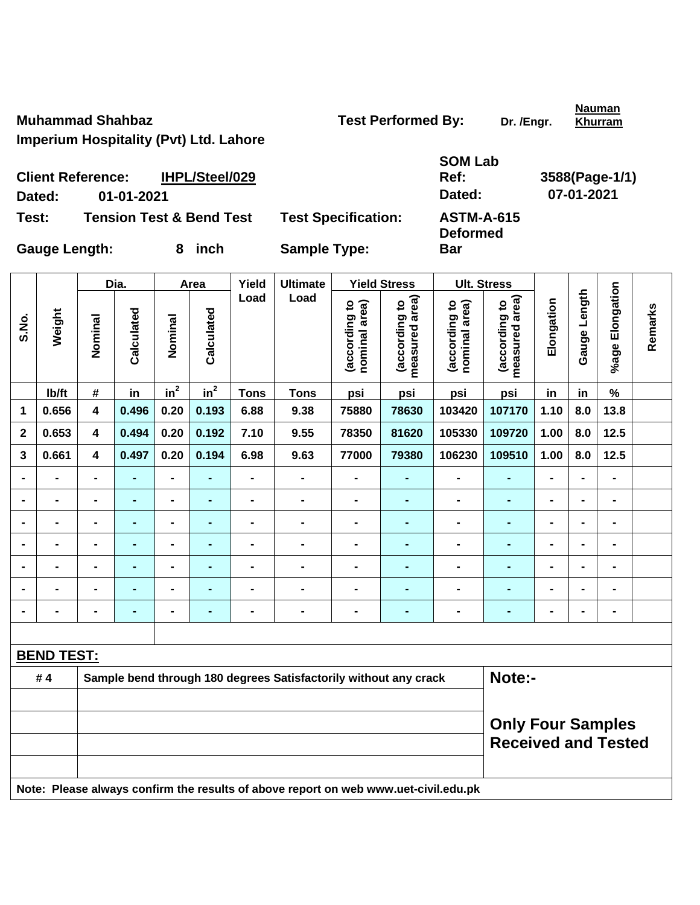**Nauman Khurram**

**Imperium Hospitality (Pvt) Ltd. Lahore** 

| SOM Lab |                |
|---------|----------------|
| Ref:    | 3588(Page-1/1) |
| Dated:  | 07-01-2021     |

**Deformed** 

**Bar** 

**Client Reference: IHPL/Steel/029 Dated: 01-01-2021 Dated: 07-01-2021 Test: Tension Test & Bend Test Test Specification: ASTM-A-615** 

|                |                   | Dia.<br>Area            |                |                | Yield          | <b>Ultimate</b> |                                                                                     | <b>Yield Stress</b>            | <b>Ult. Stress</b>              |                                |                                 |                |                              |                 |         |
|----------------|-------------------|-------------------------|----------------|----------------|----------------|-----------------|-------------------------------------------------------------------------------------|--------------------------------|---------------------------------|--------------------------------|---------------------------------|----------------|------------------------------|-----------------|---------|
| S.No.          | Weight            | Nominal                 | Calculated     | Nominal        | Calculated     | Load            | Load                                                                                | (according to<br>nominal area) | (according to<br>measured area) | nominal area)<br>(according to | (according to<br>measured area) | Elongation     | Gauge Length                 | %age Elongation | Remarks |
|                | lb/ft             | #                       | in             | $in^2$         | $in^2$         | <b>Tons</b>     | <b>Tons</b>                                                                         | psi                            | psi                             | psi                            | psi                             | in             | in                           | $\%$            |         |
| 1              | 0.656             | $\overline{\mathbf{4}}$ | 0.496          | 0.20           | 0.193          | 6.88            | 9.38                                                                                | 75880                          | 78630                           | 103420                         | 107170                          | 1.10           | 8.0                          | 13.8            |         |
| $\mathbf 2$    | 0.653             | $\overline{\mathbf{4}}$ | 0.494          | 0.20           | 0.192          | 7.10            | 9.55                                                                                | 78350                          | 81620                           | 105330                         | 109720                          | 1.00           | 8.0                          | 12.5            |         |
| 3              | 0.661             | 4                       | 0.497          | 0.20           | 0.194          | 6.98            | 9.63                                                                                | 77000                          | 79380                           | 106230                         | 109510                          | 1.00           | 8.0                          | $12.5$          |         |
|                | L,                | $\blacksquare$          | $\blacksquare$ | $\blacksquare$ | $\blacksquare$ | $\blacksquare$  | $\blacksquare$                                                                      | $\frac{1}{2}$                  | $\blacksquare$                  | $\qquad \qquad \blacksquare$   | $\blacksquare$                  | $\blacksquare$ | $\blacksquare$               | $\blacksquare$  |         |
|                | $\blacksquare$    | $\blacksquare$          | $\blacksquare$ | $\blacksquare$ | $\blacksquare$ | $\blacksquare$  | $\blacksquare$                                                                      | $\qquad \qquad \blacksquare$   | $\blacksquare$                  | $\qquad \qquad \blacksquare$   | $\blacksquare$                  | $\blacksquare$ | $\blacksquare$               | $\blacksquare$  |         |
|                | $\blacksquare$    |                         | $\blacksquare$ | $\blacksquare$ | $\blacksquare$ | $\blacksquare$  | $\blacksquare$                                                                      | $\blacksquare$                 | $\blacksquare$                  | $\blacksquare$                 | ÷,                              | $\blacksquare$ | $\blacksquare$               | $\blacksquare$  |         |
|                |                   |                         | $\blacksquare$ | $\blacksquare$ |                | $\blacksquare$  | $\blacksquare$                                                                      | $\blacksquare$                 | $\blacksquare$                  | $\blacksquare$                 | $\blacksquare$                  | $\blacksquare$ | $\blacksquare$               | $\blacksquare$  |         |
|                | $\blacksquare$    |                         | $\blacksquare$ | $\blacksquare$ | $\blacksquare$ | $\blacksquare$  | $\blacksquare$                                                                      | $\blacksquare$                 |                                 | $\blacksquare$                 |                                 | $\blacksquare$ | $\blacksquare$               | $\blacksquare$  |         |
|                | $\blacksquare$    |                         | $\blacksquare$ | $\blacksquare$ | $\blacksquare$ | $\blacksquare$  | $\blacksquare$                                                                      | $\blacksquare$                 | $\blacksquare$                  | $\blacksquare$                 | $\blacksquare$                  | $\blacksquare$ | $\blacksquare$               | $\blacksquare$  |         |
| $\blacksquare$ | $\blacksquare$    | $\blacksquare$          | $\blacksquare$ | $\blacksquare$ | $\blacksquare$ | $\blacksquare$  | $\blacksquare$                                                                      | $\blacksquare$                 | $\blacksquare$                  | $\blacksquare$                 | $\blacksquare$                  | $\blacksquare$ | $\qquad \qquad \blacksquare$ | $\blacksquare$  |         |
|                |                   |                         |                |                |                |                 |                                                                                     |                                |                                 |                                |                                 |                |                              |                 |         |
|                | <b>BEND TEST:</b> |                         |                |                |                |                 |                                                                                     |                                |                                 |                                |                                 |                |                              |                 |         |
|                | #4                |                         |                |                |                |                 | Sample bend through 180 degrees Satisfactorily without any crack                    |                                |                                 |                                | Note:-                          |                |                              |                 |         |
|                |                   |                         |                |                |                |                 |                                                                                     |                                |                                 |                                |                                 |                |                              |                 |         |
|                |                   |                         |                |                |                |                 | <b>Only Four Samples</b><br><b>Received and Tested</b>                              |                                |                                 |                                |                                 |                |                              |                 |         |
|                |                   |                         |                |                |                |                 | Note: Please always confirm the results of above report on web www.uet-civil.edu.pk |                                |                                 |                                |                                 |                |                              |                 |         |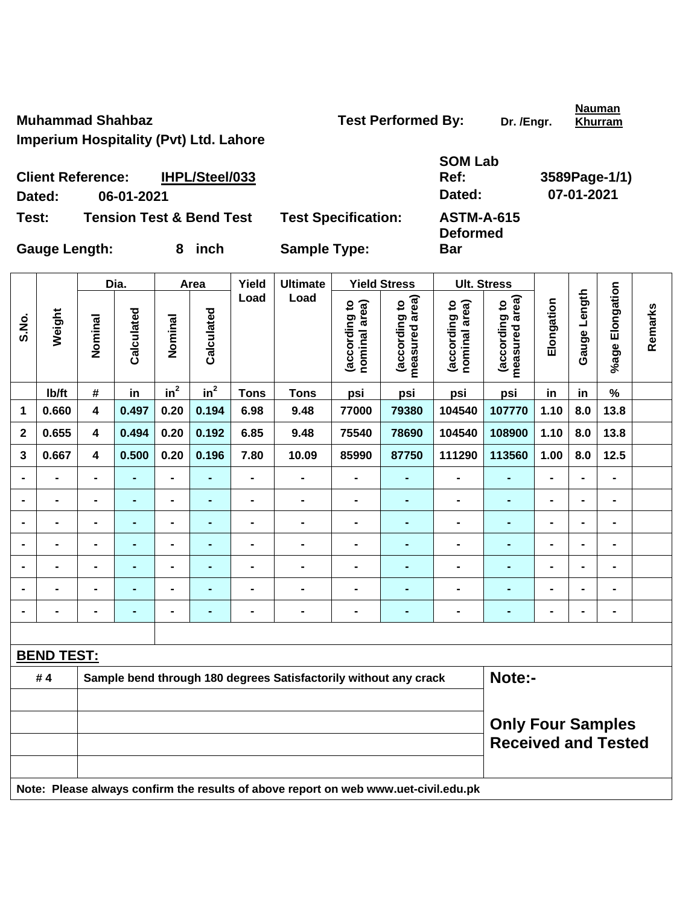**Nauman Khurram**

**Imperium Hospitality (Pvt) Ltd. Lahore** 

| <b>SOM Lab</b>      |               |
|---------------------|---------------|
| Ref:                | 3589Page-1/1) |
| Dated:              | 07-01-2021    |
| A OTMA A <i>cae</i> |               |

**Deformed** 

**Bar** 

**Client Reference: IHPL/Steel/033** Dated: 06-01-2021 **Test: Tension Test & Bend Test Test Specification: ASTM-A-615** 

|                |                   | Dia.<br>Area            |                |                              | Yield          | <b>Ultimate</b> |                                                                                     | <b>Yield Stress</b>            | <b>Ult. Stress</b>              |                                |                                 |                |                              |                 |         |
|----------------|-------------------|-------------------------|----------------|------------------------------|----------------|-----------------|-------------------------------------------------------------------------------------|--------------------------------|---------------------------------|--------------------------------|---------------------------------|----------------|------------------------------|-----------------|---------|
| S.No.          | Weight            | Nominal                 | Calculated     | Nominal                      | Calculated     | Load            | Load                                                                                | (according to<br>nominal area) | (according to<br>measured area) | nominal area)<br>(according to | (according to<br>measured area) | Elongation     | Gauge Length                 | %age Elongation | Remarks |
|                | lb/ft             | #                       | in             | $in^2$                       | $in^2$         | <b>Tons</b>     | <b>Tons</b>                                                                         | psi                            | psi                             | psi                            | psi                             | in             | in                           | $\%$            |         |
| 1              | 0.660             | $\overline{\mathbf{4}}$ | 0.497          | 0.20                         | 0.194          | 6.98            | 9.48                                                                                | 77000                          | 79380                           | 104540                         | 107770                          | 1.10           | 8.0                          | 13.8            |         |
| $\mathbf 2$    | 0.655             | $\overline{\mathbf{4}}$ | 0.494          | 0.20                         | 0.192          | 6.85            | 9.48                                                                                | 75540                          | 78690                           | 104540                         | 108900                          | 1.10           | 8.0                          | 13.8            |         |
| 3              | 0.667             | 4                       | 0.500          | 0.20                         | 0.196          | 7.80            | 10.09                                                                               | 85990                          | 87750                           | 111290                         | 113560                          | 1.00           | 8.0                          | $12.5$          |         |
|                | L,                | $\blacksquare$          | $\blacksquare$ | $\qquad \qquad \blacksquare$ | $\blacksquare$ | $\blacksquare$  | $\blacksquare$                                                                      | $\frac{1}{2}$                  | $\blacksquare$                  | $\qquad \qquad \blacksquare$   | $\blacksquare$                  | $\blacksquare$ | $\blacksquare$               | $\blacksquare$  |         |
|                | $\blacksquare$    | $\blacksquare$          | $\blacksquare$ | $\blacksquare$               | $\blacksquare$ | $\blacksquare$  | $\blacksquare$                                                                      | $\qquad \qquad \blacksquare$   | $\blacksquare$                  | $\qquad \qquad \blacksquare$   | $\blacksquare$                  | $\blacksquare$ | $\blacksquare$               | $\blacksquare$  |         |
|                | $\blacksquare$    |                         | $\blacksquare$ | $\blacksquare$               | $\blacksquare$ | $\blacksquare$  | $\blacksquare$                                                                      | $\blacksquare$                 | $\blacksquare$                  | $\blacksquare$                 | $\blacksquare$                  | $\blacksquare$ | $\blacksquare$               | $\blacksquare$  |         |
|                |                   |                         | $\blacksquare$ | $\blacksquare$               |                | $\blacksquare$  | $\blacksquare$                                                                      | $\blacksquare$                 | $\blacksquare$                  | $\blacksquare$                 | $\blacksquare$                  | $\blacksquare$ | $\blacksquare$               | $\blacksquare$  |         |
|                | $\blacksquare$    |                         | $\blacksquare$ | $\blacksquare$               | $\blacksquare$ | $\blacksquare$  | $\blacksquare$                                                                      | $\blacksquare$                 |                                 | -                              |                                 | $\blacksquare$ | $\blacksquare$               | $\blacksquare$  |         |
|                | $\blacksquare$    |                         | $\blacksquare$ | $\blacksquare$               | $\blacksquare$ | $\blacksquare$  | $\blacksquare$                                                                      | $\blacksquare$                 | $\blacksquare$                  | $\blacksquare$                 | -                               | $\blacksquare$ | $\blacksquare$               | $\blacksquare$  |         |
| $\blacksquare$ | $\blacksquare$    | $\blacksquare$          | $\blacksquare$ | $\blacksquare$               | $\blacksquare$ | $\blacksquare$  | $\blacksquare$                                                                      | $\blacksquare$                 | $\blacksquare$                  | $\blacksquare$                 | $\blacksquare$                  | $\blacksquare$ | $\qquad \qquad \blacksquare$ | $\blacksquare$  |         |
|                |                   |                         |                |                              |                |                 |                                                                                     |                                |                                 |                                |                                 |                |                              |                 |         |
|                | <b>BEND TEST:</b> |                         |                |                              |                |                 |                                                                                     |                                |                                 |                                |                                 |                |                              |                 |         |
|                | #4                |                         |                |                              |                |                 | Sample bend through 180 degrees Satisfactorily without any crack                    |                                |                                 |                                | Note:-                          |                |                              |                 |         |
|                |                   |                         |                |                              |                |                 |                                                                                     |                                |                                 |                                |                                 |                |                              |                 |         |
|                |                   |                         |                |                              |                |                 | <b>Only Four Samples</b><br><b>Received and Tested</b>                              |                                |                                 |                                |                                 |                |                              |                 |         |
|                |                   |                         |                |                              |                |                 | Note: Please always confirm the results of above report on web www.uet-civil.edu.pk |                                |                                 |                                |                                 |                |                              |                 |         |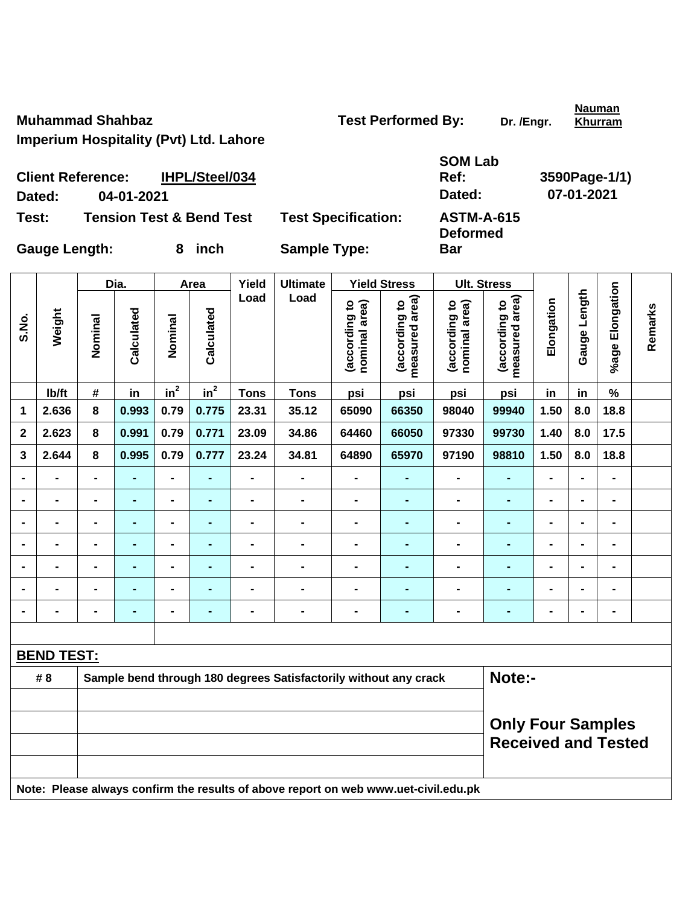**Nauman Khurram**

**Imperium Hospitality (Pvt) Ltd. Lahore** 

| <b>SOM Lab</b> |               |
|----------------|---------------|
| <b>Ref:</b>    | 3590Page-1/1) |
| Dated:         | 07-01-2021    |
| A QTM_A_G45    |               |

**Client Reference: IHPL/Steel/034 Dated: 04-01-2021 Dated: 07-01-2021 Test:** Tension Test & Bend Test Test Specification:

| Daltu.            |  |
|-------------------|--|
| <b>ASTM-A-615</b> |  |
| <b>Deformed</b>   |  |
| Bar               |  |

|             |                          |                | Dia.           |                | Area            | Yield                    | <b>Ultimate</b>                                                                     |                                | <b>Yield Stress</b>             |                                | <b>Ult. Stress</b>                                     |                |                |                 |         |
|-------------|--------------------------|----------------|----------------|----------------|-----------------|--------------------------|-------------------------------------------------------------------------------------|--------------------------------|---------------------------------|--------------------------------|--------------------------------------------------------|----------------|----------------|-----------------|---------|
| S.No.       | Weight                   | Nominal        | Calculated     | Nominal        | Calculated      | Load                     | Load                                                                                | (according to<br>nominal area) | (according to<br>measured area) | nominal area)<br>(according to | measured area)<br>(according to                        | Elongation     | Gauge Length   | %age Elongation | Remarks |
|             | Ib/ft                    | $\pmb{\#}$     | in             | $in^2$         | $\mathsf{in}^2$ | <b>Tons</b>              | <b>Tons</b>                                                                         | psi                            | psi                             | psi                            | psi                                                    | in             | in             | $\%$            |         |
| 1           | 2.636                    | 8              | 0.993          | 0.79           | 0.775           | 23.31                    | 35.12                                                                               | 65090                          | 66350                           | 98040                          | 99940                                                  | 1.50           | 8.0            | 18.8            |         |
| $\mathbf 2$ | 2.623                    | 8              | 0.991          | 0.79           | 0.771           | 23.09                    | 34.86                                                                               | 64460                          | 66050                           | 97330                          | 99730                                                  | 1.40           | 8.0            | 17.5            |         |
| 3           | 2.644                    | 8              | 0.995          | 0.79           | 0.777           | 23.24                    | 34.81                                                                               | 64890                          | 65970                           | 97190                          | 98810                                                  | 1.50           | 8.0            | 18.8            |         |
|             | $\overline{\phantom{0}}$ | $\blacksquare$ | L.             | $\blacksquare$ | ÷,              | $\blacksquare$           | $\overline{\phantom{0}}$                                                            | $\qquad \qquad \blacksquare$   | ۰                               | $\blacksquare$                 | $\blacksquare$                                         | $\blacksquare$ | $\blacksquare$ | $\blacksquare$  |         |
|             | $\blacksquare$           | $\blacksquare$ | ÷,             | $\blacksquare$ | ÷,              | $\overline{\phantom{0}}$ | $\blacksquare$                                                                      | $\blacksquare$                 | $\blacksquare$                  | $\blacksquare$                 | $\blacksquare$                                         | $\overline{a}$ |                | $\overline{a}$  |         |
|             | $\blacksquare$           | $\blacksquare$ | $\blacksquare$ | $\blacksquare$ | $\blacksquare$  | $\blacksquare$           | $\blacksquare$                                                                      | $\blacksquare$                 | $\blacksquare$                  | $\blacksquare$                 | ä,                                                     | $\overline{a}$ |                | $\blacksquare$  |         |
|             | $\blacksquare$           |                | $\blacksquare$ | $\blacksquare$ |                 | -                        | $\blacksquare$                                                                      | $\blacksquare$                 | ä,                              | $\blacksquare$                 | $\blacksquare$                                         |                |                | $\blacksquare$  |         |
|             | Ξ.                       | $\blacksquare$ | $\blacksquare$ | $\blacksquare$ | ٠               | $\blacksquare$           | $\blacksquare$                                                                      | $\blacksquare$                 | -                               | $\blacksquare$                 | ۰                                                      | $\blacksquare$ | $\blacksquare$ | -               |         |
|             | $\blacksquare$           | $\blacksquare$ | $\blacksquare$ | $\blacksquare$ | $\blacksquare$  | $\blacksquare$           | $\blacksquare$                                                                      | $\blacksquare$                 | -                               | $\blacksquare$                 | ۰                                                      | $\blacksquare$ |                | -               |         |
|             | $\blacksquare$           | $\blacksquare$ | $\blacksquare$ | $\blacksquare$ | ۰               | $\blacksquare$           | $\blacksquare$                                                                      | $\blacksquare$                 | ۰                               | $\blacksquare$                 | $\blacksquare$                                         | $\blacksquare$ | $\blacksquare$ | $\blacksquare$  |         |
|             |                          |                |                |                |                 |                          |                                                                                     |                                |                                 |                                |                                                        |                |                |                 |         |
|             | <b>BEND TEST:</b>        |                |                |                |                 |                          |                                                                                     |                                |                                 |                                |                                                        |                |                |                 |         |
|             | # 8                      |                |                |                |                 |                          | Sample bend through 180 degrees Satisfactorily without any crack                    |                                |                                 |                                | Note:-                                                 |                |                |                 |         |
|             |                          |                |                |                |                 |                          |                                                                                     |                                |                                 |                                | <b>Only Four Samples</b><br><b>Received and Tested</b> |                |                |                 |         |
|             |                          |                |                |                |                 |                          | Note: Please always confirm the results of above report on web www.uet-civil.edu.pk |                                |                                 |                                |                                                        |                |                |                 |         |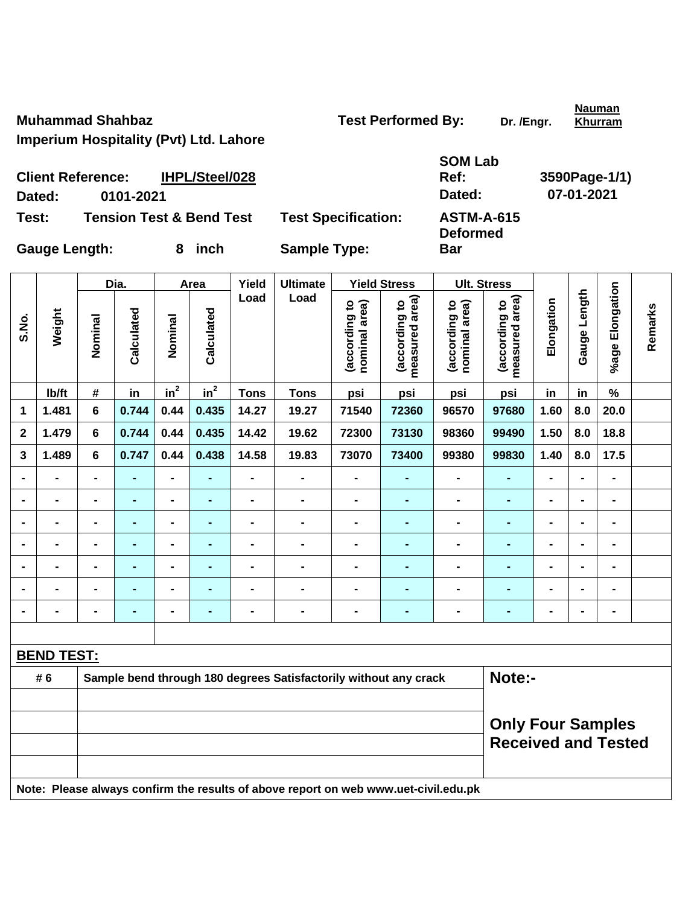**Nauman Khurram**

**Imperium Hospitality (Pvt) Ltd. Lahore** 

| <b>SOM Lab</b> |               |
|----------------|---------------|
| Ref:           | 3590Page-1/1) |
| Dated:         | 07-01-2021    |
| ACTM A C4E     |               |

**Deformed** 

**Bar** 

**Client Reference: IHPL/Steel/028 Dated: 0101-2021 Dated: 07-01-2021 Test: Tension Test & Bend Test Test Specification: ASTM-A-615** 

Gauge Length: 8 inch Sample Type:

 $\mathbf{r}$ 

|                |                   |                                                        | Dia.           |                 | Area           | Yield          | <b>Ultimate</b>                                                                     |                                | <b>Yield Stress</b>             |                                | <b>Ult. Stress</b>              |                |                |                              |         |
|----------------|-------------------|--------------------------------------------------------|----------------|-----------------|----------------|----------------|-------------------------------------------------------------------------------------|--------------------------------|---------------------------------|--------------------------------|---------------------------------|----------------|----------------|------------------------------|---------|
| S.No.          | Weight            | Nominal                                                | Calculated     | Nominal         | Calculated     | Load           | Load                                                                                | (according to<br>nominal area) | (according to<br>measured area) | nominal area)<br>(according to | measured area)<br>(according to | Elongation     | Gauge Length   | %age Elongation              | Remarks |
|                | Ib/ft             | $\#$                                                   | in             | in <sup>2</sup> | $in^2$         | <b>Tons</b>    | <b>Tons</b>                                                                         | psi                            | psi                             | psi                            | psi                             | in             | in             | $\%$                         |         |
| $\mathbf{1}$   | 1.481             | 6                                                      | 0.744          | 0.44            | 0.435          | 14.27          | 19.27                                                                               | 71540                          | 72360                           | 96570                          | 97680                           | 1.60           | 8.0            | 20.0                         |         |
| $\mathbf{2}$   | 1.479             | 6                                                      | 0.744          | 0.44            | 0.435          | 14.42          | 19.62                                                                               | 72300                          | 73130                           | 98360                          | 99490                           | 1.50           | 8.0            | 18.8                         |         |
| 3              | 1.489             | $6\phantom{1}$                                         | 0.747          | 0.44            | 0.438          | 14.58          | 19.83                                                                               | 73070                          | 73400                           | 99380                          | 99830                           | 1.40           | 8.0            | 17.5                         |         |
| $\blacksquare$ | $\blacksquare$    | $\blacksquare$                                         | $\blacksquare$ | $\blacksquare$  | ٠              | $\blacksquare$ | $\qquad \qquad \blacksquare$                                                        | $\qquad \qquad \blacksquare$   | $\blacksquare$                  | $\blacksquare$                 | $\blacksquare$                  | $\blacksquare$ | $\blacksquare$ | $\blacksquare$               |         |
| $\blacksquare$ | $\blacksquare$    | -                                                      | $\blacksquare$ | $\blacksquare$  | $\blacksquare$ | $\blacksquare$ | $\blacksquare$                                                                      | $\blacksquare$                 | $\blacksquare$                  | $\qquad \qquad \blacksquare$   | $\blacksquare$                  | $\blacksquare$ | $\blacksquare$ | $\qquad \qquad \blacksquare$ |         |
| $\blacksquare$ | $\blacksquare$    | $\blacksquare$                                         | $\blacksquare$ | $\blacksquare$  | ٠              | $\blacksquare$ | $\blacksquare$                                                                      | $\blacksquare$                 | $\blacksquare$                  | $\blacksquare$                 | $\blacksquare$                  | $\blacksquare$ | $\blacksquare$ | $\qquad \qquad \blacksquare$ |         |
|                |                   | $\blacksquare$                                         | $\blacksquare$ | $\blacksquare$  | ٠              |                | $\blacksquare$                                                                      | $\blacksquare$                 | $\blacksquare$                  | $\blacksquare$                 | $\blacksquare$                  | $\blacksquare$ | $\blacksquare$ | $\blacksquare$               |         |
|                |                   |                                                        | $\blacksquare$ | $\blacksquare$  |                |                | -                                                                                   | $\blacksquare$                 |                                 | -                              | $\blacksquare$                  |                | $\blacksquare$ |                              |         |
|                | $\blacksquare$    |                                                        |                | $\blacksquare$  |                |                | -                                                                                   | $\blacksquare$                 |                                 | $\blacksquare$                 | ٠                               | $\blacksquare$ | -              | $\blacksquare$               |         |
| $\blacksquare$ |                   | -                                                      | $\blacksquare$ | $\blacksquare$  | $\blacksquare$ | $\blacksquare$ | -                                                                                   | $\blacksquare$                 | -                               | $\blacksquare$                 | $\blacksquare$                  | $\blacksquare$ | $\blacksquare$ | $\blacksquare$               |         |
|                |                   |                                                        |                |                 |                |                |                                                                                     |                                |                                 |                                |                                 |                |                |                              |         |
|                | <b>BEND TEST:</b> |                                                        |                |                 |                |                |                                                                                     |                                |                                 |                                |                                 |                |                |                              |         |
|                | # 6               |                                                        |                |                 |                |                | Sample bend through 180 degrees Satisfactorily without any crack                    |                                |                                 |                                | Note:-                          |                |                |                              |         |
|                |                   |                                                        |                |                 |                |                |                                                                                     |                                |                                 |                                |                                 |                |                |                              |         |
|                |                   | <b>Only Four Samples</b><br><b>Received and Tested</b> |                |                 |                |                |                                                                                     |                                |                                 |                                |                                 |                |                |                              |         |
|                |                   |                                                        |                |                 |                |                | Note: Please always confirm the results of above report on web www.uet-civil.edu.pk |                                |                                 |                                |                                 |                |                |                              |         |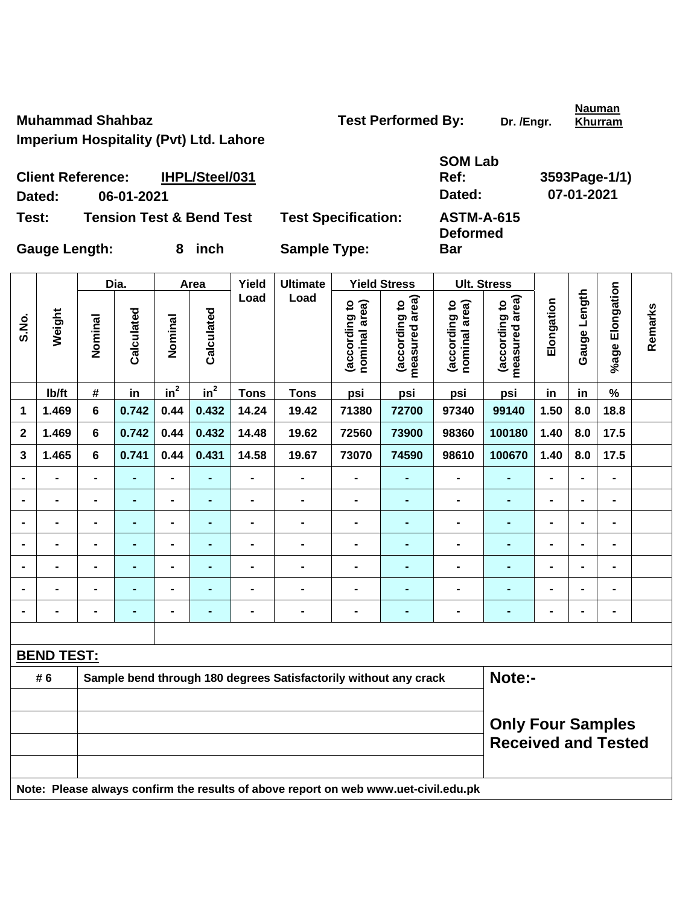**Nauman Khurram**

**Imperium Hospitality (Pvt) Ltd. Lahore** 

|     | <b>SOM Lab</b> |               |
|-----|----------------|---------------|
|     | Ref:           | 3593Page-1/1) |
|     | Dated:         | 07-01-2021    |
| nn. | ACTM A C15     |               |

**Deformed** 

**Bar** 

**Client Reference: IHPL/Steel/031 Dated: 06-01-2021 Dated: 07-01-2021** 

**Test: Tension Test & Bend Test Test Specification: ASTM-A-615** 

|                |                   |                                                        | Dia.           |                              | Area           | Yield          | <b>Ultimate</b>                                                                     |                                | <b>Yield Stress</b>             |                                | <b>Ult. Stress</b>              |                |                |                 |         |
|----------------|-------------------|--------------------------------------------------------|----------------|------------------------------|----------------|----------------|-------------------------------------------------------------------------------------|--------------------------------|---------------------------------|--------------------------------|---------------------------------|----------------|----------------|-----------------|---------|
| S.No.          | Weight            | Nominal                                                | Calculated     | Nominal                      | Calculated     | Load           | Load                                                                                | (according to<br>nominal area) | measured area)<br>(according to | nominal area)<br>(according to | (according to<br>measured area) | Elongation     | Gauge Length   | %age Elongation | Remarks |
|                | lb/ft             | $\#$                                                   | in             | $in^2$                       | $in^2$         | <b>Tons</b>    | <b>Tons</b>                                                                         | psi                            | psi                             | psi                            | psi                             | in             | in             | %               |         |
| 1              | 1.469             | 6                                                      | 0.742          | 0.44                         | 0.432          | 14.24          | 19.42                                                                               | 71380                          | 72700                           | 97340                          | 99140                           | 1.50           | 8.0            | 18.8            |         |
| $\mathbf{2}$   | 1.469             | 6                                                      | 0.742          | 0.44                         | 0.432          | 14.48          | 19.62                                                                               | 72560                          | 73900                           | 98360                          | 100180                          | 1.40           | 8.0            | 17.5            |         |
| 3              | 1.465             | 6                                                      | 0.741          | 0.44                         | 0.431          | 14.58          | 19.67                                                                               | 73070                          | 74590                           | 98610                          | 100670                          | 1.40           | 8.0            | 17.5            |         |
|                | $\blacksquare$    | $\blacksquare$                                         | $\blacksquare$ | $\blacksquare$               | $\blacksquare$ | $\blacksquare$ | $\blacksquare$                                                                      | $\blacksquare$                 | $\blacksquare$                  | $\qquad \qquad \blacksquare$   | $\blacksquare$                  | $\blacksquare$ | $\blacksquare$ | $\blacksquare$  |         |
|                |                   |                                                        |                | $\blacksquare$               |                |                | -                                                                                   | $\blacksquare$                 |                                 | -                              |                                 | -              | $\blacksquare$ | $\blacksquare$  |         |
|                |                   |                                                        | $\blacksquare$ | $\qquad \qquad \blacksquare$ | $\blacksquare$ | $\blacksquare$ | $\blacksquare$                                                                      | $\blacksquare$                 | $\blacksquare$                  | $\blacksquare$                 | ÷                               | $\blacksquare$ | $\blacksquare$ | $\blacksquare$  |         |
| $\blacksquare$ | $\blacksquare$    | $\blacksquare$                                         | $\blacksquare$ | $\blacksquare$               | $\blacksquare$ | $\blacksquare$ | $\qquad \qquad \blacksquare$                                                        | $\blacksquare$                 | $\blacksquare$                  | $\blacksquare$                 | $\blacksquare$                  | $\blacksquare$ | $\blacksquare$ | $\blacksquare$  |         |
|                | $\blacksquare$    | $\blacksquare$                                         | $\blacksquare$ | $\qquad \qquad \blacksquare$ | ٠              | $\blacksquare$ | $\blacksquare$                                                                      | $\blacksquare$                 | $\blacksquare$                  | $\blacksquare$                 | $\blacksquare$                  | $\blacksquare$ | $\blacksquare$ | $\blacksquare$  |         |
|                |                   | $\blacksquare$                                         | $\blacksquare$ | $\blacksquare$               | $\blacksquare$ |                | $\blacksquare$                                                                      | $\blacksquare$                 | $\blacksquare$                  | $\blacksquare$                 | -                               | -              | $\blacksquare$ | $\blacksquare$  |         |
|                |                   | $\blacksquare$                                         | $\blacksquare$ | $\blacksquare$               | $\blacksquare$ | $\blacksquare$ | -                                                                                   | $\blacksquare$                 | $\blacksquare$                  | -                              | $\blacksquare$                  | $\blacksquare$ | $\blacksquare$ | $\blacksquare$  |         |
|                |                   |                                                        |                |                              |                |                |                                                                                     |                                |                                 |                                |                                 |                |                |                 |         |
|                | <b>BEND TEST:</b> |                                                        |                |                              |                |                |                                                                                     |                                |                                 |                                |                                 |                |                |                 |         |
|                | # 6               |                                                        |                |                              |                |                | Sample bend through 180 degrees Satisfactorily without any crack                    |                                |                                 |                                | Note:-                          |                |                |                 |         |
|                |                   |                                                        |                |                              |                |                |                                                                                     |                                |                                 |                                |                                 |                |                |                 |         |
|                |                   | <b>Only Four Samples</b><br><b>Received and Tested</b> |                |                              |                |                |                                                                                     |                                |                                 |                                |                                 |                |                |                 |         |
|                |                   |                                                        |                |                              |                |                | Note: Please always confirm the results of above report on web www.uet-civil.edu.pk |                                |                                 |                                |                                 |                |                |                 |         |